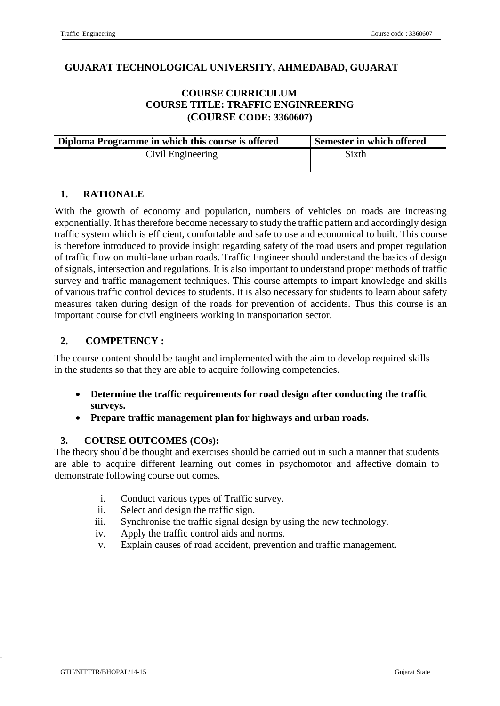### **GUJARAT TECHNOLOGICAL UNIVERSITY, AHMEDABAD, GUJARAT**

### **COURSE CURRICULUM COURSE TITLE: TRAFFIC ENGINREERING (COURSE CODE: 3360607)**

| Diploma Programme in which this course is offered | Semester in which offered |
|---------------------------------------------------|---------------------------|
| Civil Engineering                                 | Sixth                     |

### **1. RATIONALE**

With the growth of economy and population, numbers of vehicles on roads are increasing exponentially. It has therefore become necessary to study the traffic pattern and accordingly design traffic system which is efficient, comfortable and safe to use and economical to built. This course is therefore introduced to provide insight regarding safety of the road users and proper regulation of traffic flow on multi-lane urban roads. Traffic Engineer should understand the basics of design of signals, intersection and regulations. It is also important to understand proper methods of traffic survey and traffic management techniques. This course attempts to impart knowledge and skills of various traffic control devices to students. It is also necessary for students to learn about safety measures taken during design of the roads for prevention of accidents. Thus this course is an important course for civil engineers working in transportation sector.

### **2. COMPETENCY :**

The course content should be taught and implemented with the aim to develop required skills in the students so that they are able to acquire following competencies.

- **Determine the traffic requirements for road design after conducting the traffic surveys.**
- **Prepare traffic management plan for highways and urban roads.**

### **3. COURSE OUTCOMES (COs):**

The theory should be thought and exercises should be carried out in such a manner that students are able to acquire different learning out comes in psychomotor and affective domain to demonstrate following course out comes.

- i. Conduct various types of Traffic survey.
- ii. Select and design the traffic sign.
- iii. Synchronise the traffic signal design by using the new technology.
- iv. Apply the traffic control aids and norms.
- v. Explain causes of road accident, prevention and traffic management.

 $\_$  , and the set of the set of the set of the set of the set of the set of the set of the set of the set of the set of the set of the set of the set of the set of the set of the set of the set of the set of the set of th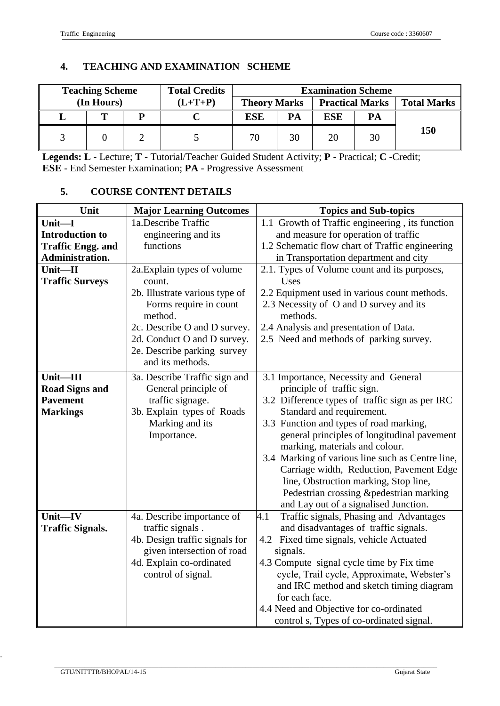# **4. TEACHING AND EXAMINATION SCHEME**

|                    |                        | <b>Examination Scheme</b> |                     | <b>Total Credits</b> |           | <b>Teaching Scheme</b> |  |  |
|--------------------|------------------------|---------------------------|---------------------|----------------------|-----------|------------------------|--|--|
| <b>Total Marks</b> | <b>Practical Marks</b> |                           | <b>Theory Marks</b> |                      | $(L+T+P)$ | (In Hours)             |  |  |
|                    | РA                     | <b>ESE</b>                | PA                  | <b>ESE</b>           |           |                        |  |  |
| 150                | 30                     | 20                        | 30                  | 70                   |           |                        |  |  |

**Legends: L -** Lecture; **T -** Tutorial/Teacher Guided Student Activity; **P -** Practical; **C -**Credit; **ESE** - End Semester Examination; **PA** - Progressive Assessment

## **5. COURSE CONTENT DETAILS**

| Unit                     | <b>Major Learning Outcomes</b>    | <b>Topics and Sub-topics</b>                        |  |
|--------------------------|-----------------------------------|-----------------------------------------------------|--|
| Unit-I                   | 1a.Describe Traffic               | 1.1 Growth of Traffic engineering, its function     |  |
| <b>Introduction to</b>   | engineering and its               | and measure for operation of traffic                |  |
| <b>Traffic Engg. and</b> | functions                         | 1.2 Schematic flow chart of Traffic engineering     |  |
| Administration.          |                                   | in Transportation department and city               |  |
| Unit-II                  | 2a. Explain types of volume       | 2.1. Types of Volume count and its purposes,        |  |
| <b>Traffic Surveys</b>   | count.                            | Uses                                                |  |
|                          | 2b. Illustrate various type of    | 2.2 Equipment used in various count methods.        |  |
|                          | Forms require in count<br>method. | 2.3 Necessity of O and D survey and its<br>methods. |  |
|                          | 2c. Describe O and D survey.      | 2.4 Analysis and presentation of Data.              |  |
|                          | 2d. Conduct O and D survey.       | 2.5 Need and methods of parking survey.             |  |
|                          | 2e. Describe parking survey       |                                                     |  |
|                          | and its methods.                  |                                                     |  |
| Unit-III                 | 3a. Describe Traffic sign and     | 3.1 Importance, Necessity and General               |  |
| <b>Road Signs and</b>    | General principle of              | principle of traffic sign.                          |  |
| <b>Pavement</b>          | traffic signage.                  | 3.2 Difference types of traffic sign as per IRC     |  |
| <b>Markings</b>          | 3b. Explain types of Roads        | Standard and requirement.                           |  |
|                          | Marking and its                   | 3.3 Function and types of road marking,             |  |
|                          | Importance.                       | general principles of longitudinal pavement         |  |
|                          |                                   | marking, materials and colour.                      |  |
|                          |                                   | 3.4 Marking of various line such as Centre line,    |  |
|                          |                                   | Carriage width, Reduction, Pavement Edge            |  |
|                          |                                   | line, Obstruction marking, Stop line,               |  |
|                          |                                   | Pedestrian crossing &pedestrian marking             |  |
|                          |                                   | and Lay out of a signalised Junction.               |  |
| Unit-IV                  | 4a. Describe importance of        | Traffic signals, Phasing and Advantages<br>4.1      |  |
| <b>Traffic Signals.</b>  | traffic signals.                  | and disadvantages of traffic signals.               |  |
|                          | 4b. Design traffic signals for    | 4.2 Fixed time signals, vehicle Actuated            |  |
|                          | given intersection of road        | signals.                                            |  |
|                          | 4d. Explain co-ordinated          | 4.3 Compute signal cycle time by Fix time           |  |
|                          | control of signal.                | cycle, Trail cycle, Approximate, Webster's          |  |
|                          |                                   | and IRC method and sketch timing diagram            |  |
|                          |                                   | for each face.                                      |  |
|                          |                                   | 4.4 Need and Objective for co-ordinated             |  |
|                          |                                   | control s, Types of co-ordinated signal.            |  |

 $\_$  , and the set of the set of the set of the set of the set of the set of the set of the set of the set of the set of the set of the set of the set of the set of the set of the set of the set of the set of the set of th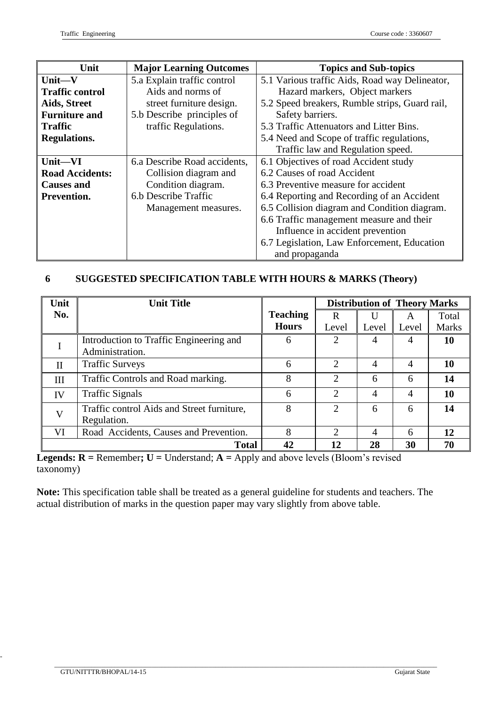| Unit                   | <b>Major Learning Outcomes</b>                                                | <b>Topics and Sub-topics</b>                   |
|------------------------|-------------------------------------------------------------------------------|------------------------------------------------|
| Unit-V                 | 5.a Explain traffic control<br>5.1 Various traffic Aids, Road way Delineator, |                                                |
| <b>Traffic control</b> | Aids and norms of                                                             | Hazard markers, Object markers                 |
| Aids, Street           | street furniture design.                                                      | 5.2 Speed breakers, Rumble strips, Guard rail, |
| <b>Furniture and</b>   | 5.b Describe principles of                                                    | Safety barriers.                               |
| <b>Traffic</b>         | traffic Regulations.                                                          | 5.3 Traffic Attenuators and Litter Bins.       |
| <b>Regulations.</b>    |                                                                               | 5.4 Need and Scope of traffic regulations,     |
|                        |                                                                               | Traffic law and Regulation speed.              |
| Unit-VI                | 6.1 Objectives of road Accident study<br>6.a Describe Road accidents,         |                                                |
| <b>Road Accidents:</b> | Collision diagram and                                                         | 6.2 Causes of road Accident                    |
| <b>Causes and</b>      | Condition diagram.                                                            | 6.3 Preventive measure for accident            |
| Prevention.            | 6.b Describe Traffic                                                          | 6.4 Reporting and Recording of an Accident     |
|                        | Management measures.                                                          | 6.5 Collision diagram and Condition diagram.   |
|                        |                                                                               | 6.6 Traffic management measure and their       |
|                        |                                                                               | Influence in accident prevention               |
|                        |                                                                               | 6.7 Legislation, Law Enforcement, Education    |
|                        |                                                                               | and propaganda                                 |

## **6 SUGGESTED SPECIFICATION TABLE WITH HOURS & MARKS (Theory)**

| Unit         | <b>Unit Title</b>                                          |              | <b>Distribution of Theory Marks</b> |       |       |              |
|--------------|------------------------------------------------------------|--------------|-------------------------------------|-------|-------|--------------|
| No.          | <b>Teaching</b>                                            |              | R                                   |       | A     | Total        |
|              |                                                            | <b>Hours</b> | Level                               | Level | Level | <b>Marks</b> |
|              | Introduction to Traffic Engineering and<br>Administration. | 6            | 2                                   | 4     |       | 10           |
| $_{\rm II}$  | <b>Traffic Surveys</b>                                     | 6            | $\overline{2}$                      | 4     | 4     | 10           |
| Ш            | Traffic Controls and Road marking.                         | 8            | $\overline{2}$                      | 6     | 6     | 14           |
| IV           | <b>Traffic Signals</b>                                     | 6            | $\overline{2}$                      | 4     | 4     | 10           |
| $\mathbf{V}$ | Traffic control Aids and Street furniture,<br>Regulation.  | 8            | $\overline{2}$                      | 6     | 6     | 14           |
| VI           | Road Accidents, Causes and Prevention.                     | 8            | $\mathcal{D}_{\mathcal{L}}$         | 4     | 6     | 12           |
|              | <b>Total</b>                                               | 42           | 12                                  | 28    | 30    | 70           |

**Legends:**  $R$  = Remember;  $U$  = Understand;  $A$  = Apply and above levels (Bloom's revised taxonomy)

**Note:** This specification table shall be treated as a general guideline for students and teachers. The actual distribution of marks in the question paper may vary slightly from above table.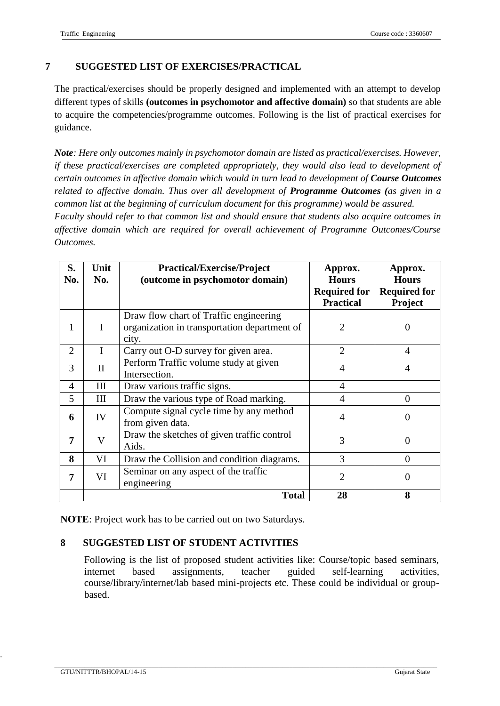## **7 SUGGESTED LIST OF EXERCISES/PRACTICAL**

The practical/exercises should be properly designed and implemented with an attempt to develop different types of skills **(outcomes in psychomotor and affective domain)** so that students are able to acquire the competencies/programme outcomes. Following is the list of practical exercises for guidance.

*Note: Here only outcomes mainly in psychomotor domain are listed as practical/exercises. However, if these practical/exercises are completed appropriately, they would also lead to development of certain outcomes in affective domain which would in turn lead to development of Course Outcomes related to affective domain. Thus over all development of Programme Outcomes (as given in a common list at the beginning of curriculum document for this programme) would be assured.* 

*Faculty should refer to that common list and should ensure that students also acquire outcomes in affective domain which are required for overall achievement of Programme Outcomes/Course Outcomes.*

| S.<br>No.      | Unit<br>No. | <b>Practical/Exercise/Project</b><br>(outcome in psychomotor domain)                            | Approx.<br><b>Hours</b><br><b>Required for</b><br><b>Practical</b> | Approx.<br><b>Hours</b><br><b>Required for</b><br>Project |
|----------------|-------------|-------------------------------------------------------------------------------------------------|--------------------------------------------------------------------|-----------------------------------------------------------|
| 1              | I           | Draw flow chart of Traffic engineering<br>organization in transportation department of<br>city. | 2                                                                  |                                                           |
| $\overline{2}$ | I           | Carry out O-D survey for given area.                                                            | $\overline{2}$                                                     | 4                                                         |
| 3              | $\rm II$    | Perform Traffic volume study at given<br>Intersection.                                          | 4                                                                  | 4                                                         |
| $\overline{4}$ | Ш           | Draw various traffic signs.                                                                     | $\overline{4}$                                                     |                                                           |
| 5              | III         | Draw the various type of Road marking.                                                          | 4                                                                  | $\Omega$                                                  |
| 6              | IV          | Compute signal cycle time by any method<br>from given data.                                     | $\overline{4}$                                                     | ( )                                                       |
| 7              | V           | Draw the sketches of given traffic control<br>Aids.                                             | 3                                                                  | 0                                                         |
| 8              | VI          | Draw the Collision and condition diagrams.                                                      | 3                                                                  | $\Omega$                                                  |
| 7              | VI          | Seminar on any aspect of the traffic<br>engineering                                             | $\overline{2}$                                                     | 0                                                         |
|                |             | <b>Total</b>                                                                                    | 28                                                                 | 8                                                         |

**NOTE**: Project work has to be carried out on two Saturdays.

### **8 SUGGESTED LIST OF STUDENT ACTIVITIES**

Following is the list of proposed student activities like: Course/topic based seminars, internet based assignments, teacher guided self-learning activities, course/library/internet/lab based mini-projects etc. These could be individual or groupbased.

 $\_$  , and the set of the set of the set of the set of the set of the set of the set of the set of the set of the set of the set of the set of the set of the set of the set of the set of the set of the set of the set of th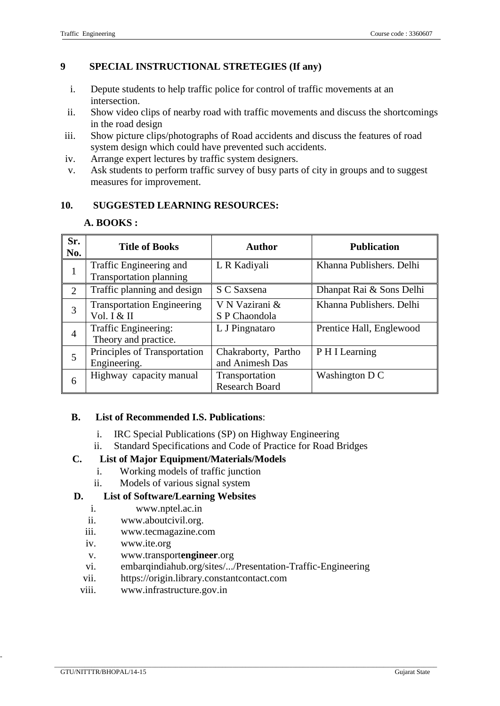### **9 SPECIAL INSTRUCTIONAL STRETEGIES (If any)**

- i. Depute students to help traffic police for control of traffic movements at an intersection.
- ii. Show video clips of nearby road with traffic movements and discuss the shortcomings in the road design
- iii. Show picture clips/photographs of Road accidents and discuss the features of road system design which could have prevented such accidents.
- iv. Arrange expert lectures by traffic system designers.
- v. Ask students to perform traffic survey of busy parts of city in groups and to suggest measures for improvement.

### **10. SUGGESTED LEARNING RESOURCES:**

### **A. BOOKS :**

| Sr.<br>No. | <b>Title of Books</b>                                     | <b>Author</b>                           | <b>Publication</b>       |
|------------|-----------------------------------------------------------|-----------------------------------------|--------------------------|
| 1          | Traffic Engineering and<br><b>Transportation planning</b> | L R Kadiyali                            | Khanna Publishers. Delhi |
| 2          | Traffic planning and design                               | S C Saxsena                             | Dhanpat Rai & Sons Delhi |
| 3          | <b>Transportation Engineering</b><br>Vol. I & II          | V N Vazirani &<br>S P Chaondola         | Khanna Publishers. Delhi |
| 4          | Traffic Engineering:<br>Theory and practice.              | L J Pingnataro                          | Prentice Hall, Englewood |
| 5          | Principles of Transportation<br>Engineering.              | Chakraborty, Partho<br>and Animesh Das  | P H I Learning           |
| 6          | Highway capacity manual                                   | Transportation<br><b>Research Board</b> | Washington D C           |

### **B. List of Recommended I.S. Publications**:

- i. IRC Special Publications (SP) on Highway Engineering
- ii. Standard Specifications and Code of Practice for Road Bridges

### **C. List of Major Equipment/Materials/Models**

- i. Working models of traffic junction
- ii. Models of various signal system

### **D. List of Software/Learning Websites**

- i. [www.nptel.ac.in](http://www.nptel.ac.in/)
- ii. [www.aboutcivil.org.](http://www.aboutcivil.org/)
- iii. www.tecmagazine.com
- iv. www.ite.org
- v. www.transport**engineer**.org
- vi. embarqindiahub.org/sites/.../Presentation-Traffic-Engineering
- vii. https://origin.library.constantcontact.com
- viii. [www.infrastructure.gov.in](http://www.infrastructure.gov.in/)